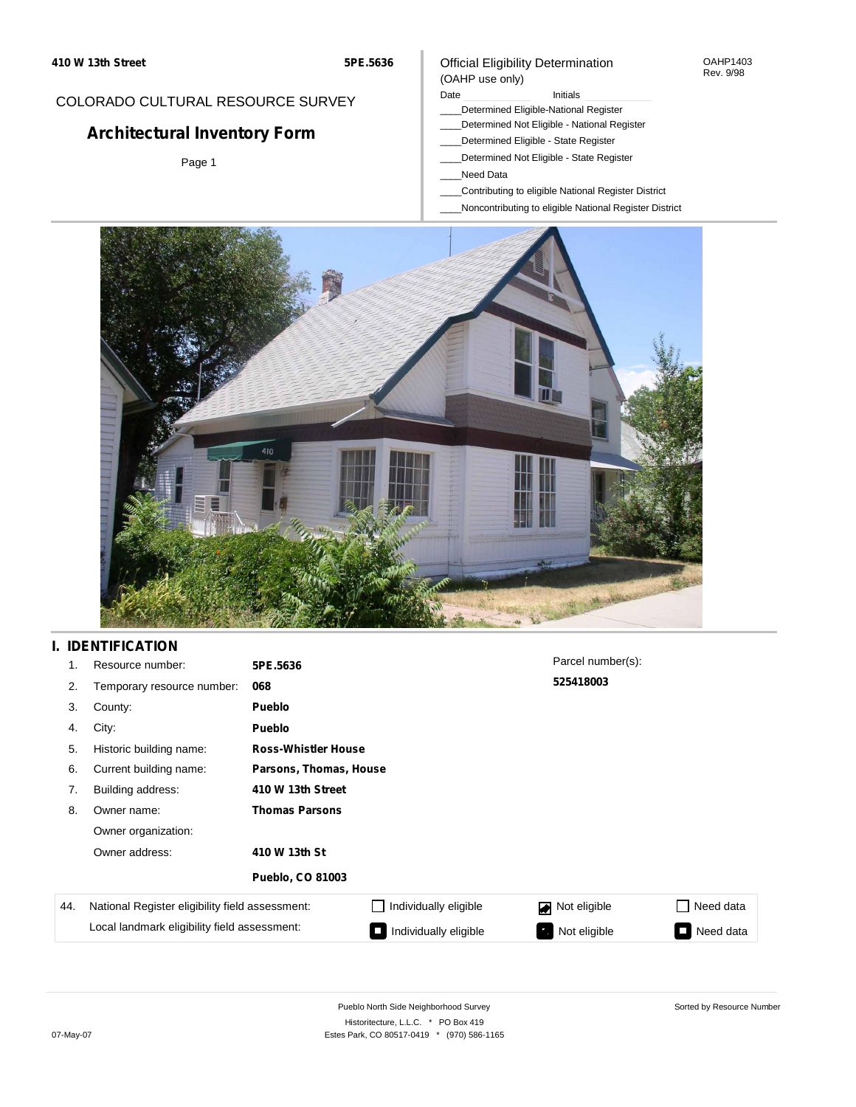#### OAHP1403 Rev. 9/98

## COLORADO CULTURAL RESOURCE SURVEY

# **Architectural Inventory Form**

Page 1

## (OAHP use only) Date **Initials** Initials

Official Eligibility Determination

- \_\_\_\_Determined Eligible-National Register
- \_\_\_\_Determined Not Eligible National Register
- \_\_\_\_Determined Eligible State Register
- \_\_\_\_Determined Not Eligible State Register
- \_\_\_\_Need Data
- \_\_\_\_Contributing to eligible National Register District
- \_\_\_\_Noncontributing to eligible National Register District



# **I. IDENTIFICATION**

| 1.  | Resource number:                                | 5PE.5636                   |                        | Parcel number(s): |           |  |  |  |
|-----|-------------------------------------------------|----------------------------|------------------------|-------------------|-----------|--|--|--|
| 2.  | Temporary resource number:                      | 068                        |                        | 525418003         |           |  |  |  |
| 3.  | County:                                         | <b>Pueblo</b>              |                        |                   |           |  |  |  |
| 4.  | City:                                           | <b>Pueblo</b>              |                        |                   |           |  |  |  |
| 5.  | Historic building name:                         | <b>Ross-Whistler House</b> |                        |                   |           |  |  |  |
| 6.  | Current building name:                          |                            | Parsons, Thomas, House |                   |           |  |  |  |
| 7.  | Building address:                               | 410 W 13th Street          |                        |                   |           |  |  |  |
| 8.  | Owner name:                                     | <b>Thomas Parsons</b>      |                        |                   |           |  |  |  |
|     | Owner organization:                             |                            |                        |                   |           |  |  |  |
|     | Owner address:                                  | 410 W 13th St              |                        |                   |           |  |  |  |
|     |                                                 | <b>Pueblo, CO 81003</b>    |                        |                   |           |  |  |  |
| 44. | National Register eligibility field assessment: |                            | Individually eligible  | Not eligible<br>◪ | Need data |  |  |  |
|     | Local landmark eligibility field assessment:    |                            | Individually eligible  | Not eligible      | Need data |  |  |  |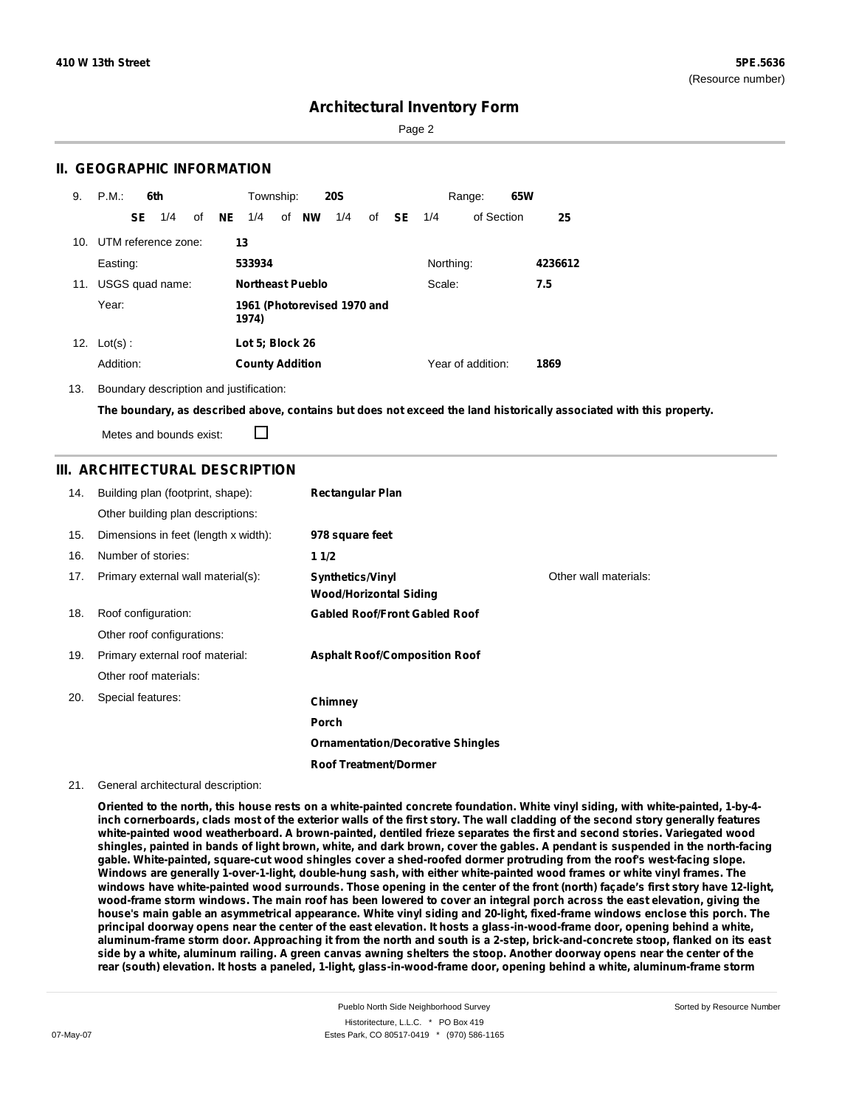Page 2

## **II. GEOGRAPHIC INFORMATION**

| 9.  | P.M.                                          |     | 6th                 |    |    | Township:              |                         | <b>20S</b> |    |           |           | Range:            | 65W |         |
|-----|-----------------------------------------------|-----|---------------------|----|----|------------------------|-------------------------|------------|----|-----------|-----------|-------------------|-----|---------|
|     |                                               | SE. | 1/4                 | of | NE | 1/4                    | of <b>NW</b>            | 1/4        | of | <b>SE</b> | 1/4       | of Section        |     | 25      |
| 10. |                                               |     | UTM reference zone: |    | 13 |                        |                         |            |    |           |           |                   |     |         |
|     | Easting:                                      |     |                     |    |    | 533934                 |                         |            |    |           | Northing: |                   |     | 4236612 |
| 11. |                                               |     | USGS quad name:     |    |    |                        | <b>Northeast Pueblo</b> |            |    |           | Scale:    |                   |     | 7.5     |
|     | Year:<br>1961 (Photorevised 1970 and<br>1974) |     |                     |    |    |                        |                         |            |    |           |           |                   |     |         |
| 12. | $Lot(s)$ :                                    |     |                     |    |    | Lot 5; Block 26        |                         |            |    |           |           |                   |     |         |
|     | Addition:                                     |     |                     |    |    | <b>County Addition</b> |                         |            |    |           |           | Year of addition: |     | 1869    |

13. Boundary description and justification:

The boundary, as described above, contains but does not exceed the land historically associated with this property.

П Metes and bounds exist:

## **III. ARCHITECTURAL DESCRIPTION**

| 14. | Building plan (footprint, shape):    | <b>Rectangular Plan</b>                                  |                       |
|-----|--------------------------------------|----------------------------------------------------------|-----------------------|
|     | Other building plan descriptions:    |                                                          |                       |
| 15. | Dimensions in feet (length x width): | 978 square feet                                          |                       |
| 16. | Number of stories:                   | 1 1/2                                                    |                       |
| 17. | Primary external wall material(s):   | <b>Synthetics/Vinyl</b><br><b>Wood/Horizontal Siding</b> | Other wall materials: |
| 18. | Roof configuration:                  | <b>Gabled Roof/Front Gabled Roof</b>                     |                       |
|     | Other roof configurations:           |                                                          |                       |
| 19. | Primary external roof material:      | <b>Asphalt Roof/Composition Roof</b>                     |                       |
|     | Other roof materials:                |                                                          |                       |
| 20. | Special features:                    | Chimney                                                  |                       |
|     |                                      | Porch                                                    |                       |
|     |                                      | <b>Ornamentation/Decorative Shingles</b>                 |                       |
|     |                                      | <b>Roof Treatment/Dormer</b>                             |                       |

#### 21. General architectural description:

Oriented to the north, this house rests on a white-painted concrete foundation. White vinyl siding, with white-painted, 1-by-4inch cornerboards, clads most of the exterior walls of the first story. The wall cladding of the second story generally features white-painted wood weatherboard. A brown-painted, dentiled frieze separates the first and second stories. Variegated wood shingles, painted in bands of light brown, white, and dark brown, cover the gables. A pendant is suspended in the north-facing **gable. White-painted, square-cut wood shingles cover a shed-roofed dormer protruding from the roof's west-facing slope.** Windows are generally 1-over-1-light, double-hung sash, with either white-painted wood frames or white vinyl frames. The windows have white-painted wood surrounds. Those opening in the center of the front (north) facade's first story have 12-light, wood-frame storm windows. The main roof has been lowered to cover an integral porch across the east elevation, giving the house's main gable an asymmetrical appearance. White vinyl siding and 20-light, fixed-frame windows enclose this porch. The principal doorway opens near the center of the east elevation. It hosts a glass-in-wood-frame door, opening behind a white, aluminum-frame storm door. Approaching it from the north and south is a 2-step, brick-and-concrete stoop, flanked on its east side by a white, aluminum railing. A green canvas awning shelters the stoop. Another doorway opens near the center of the rear (south) elevation. It hosts a paneled, 1-light, glass-in-wood-frame door, opening behind a white, aluminum-frame storm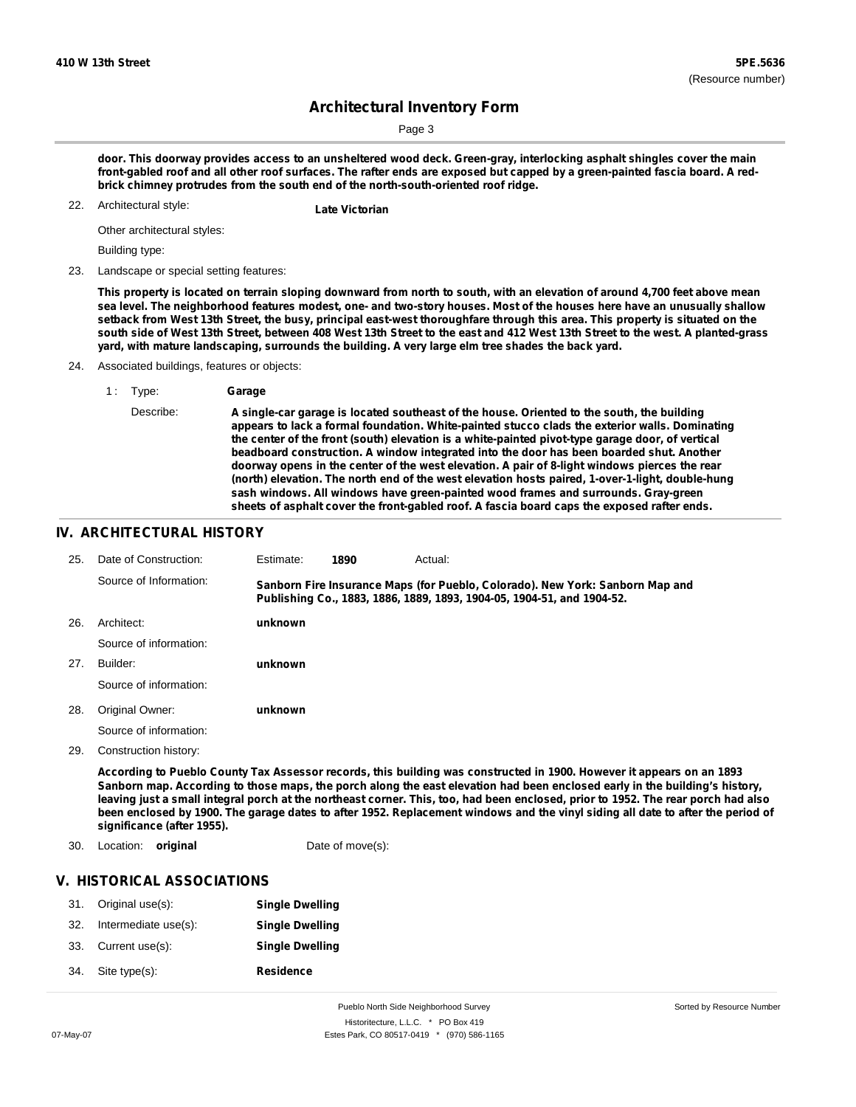Page 3

door. This doorway provides access to an unsheltered wood deck. Green-gray, interlocking asphalt shingles cover the main front-gabled roof and all other roof surfaces. The rafter ends are exposed but capped by a green-painted fascia board. A red**brick chimney protrudes from the south end of the north-south-oriented roof ridge.**

Architectural style: 22. **Late Victorian**

Other architectural styles:

Building type:

23. Landscape or special setting features:

This property is located on terrain sloping downward from north to south, with an elevation of around 4,700 feet above mean sea level. The neighborhood features modest, one- and two-story houses. Most of the houses here have an unusually shallow setback from West 13th Street, the busy, principal east-west thoroughfare through this area. This property is situated on the south side of West 13th Street, between 408 West 13th Street to the east and 412 West 13th Street to the west. A planted-grass **yard, with mature landscaping, surrounds the building. A very large elm tree shades the back yard.**

- 24. Associated buildings, features or objects:
	- 1 : Type: **Garage**
		- Describe: **A single-car garage is located southeast of the house. Oriented to the south, the building appears to lack a formal foundation. White-painted stucco clads the exterior walls. Dominating the center of the front (south) elevation is a white-painted pivot-type garage door, of vertical beadboard construction. A window integrated into the door has been boarded shut. Another doorway opens in the center of the west elevation. A pair of 8-light windows pierces the rear (north) elevation. The north end of the west elevation hosts paired, 1-over-1-light, double-hung sash windows. All windows have green-painted wood frames and surrounds. Gray-green sheets of asphalt cover the front-gabled roof. A fascia board caps the exposed rafter ends.**

### **IV. ARCHITECTURAL HISTORY**

| 25. | Date of Construction:  | Estimate: | 1890 | Actual:                                                                                                                                                 |  |
|-----|------------------------|-----------|------|---------------------------------------------------------------------------------------------------------------------------------------------------------|--|
|     | Source of Information: |           |      | Sanborn Fire Insurance Maps (for Pueblo, Colorado). New York: Sanborn Map and<br>Publishing Co., 1883, 1886, 1889, 1893, 1904-05, 1904-51, and 1904-52. |  |
| 26. | Architect:             | unknown   |      |                                                                                                                                                         |  |
|     | Source of information: |           |      |                                                                                                                                                         |  |
| 27. | Builder:               | unknown   |      |                                                                                                                                                         |  |
|     | Source of information: |           |      |                                                                                                                                                         |  |
| 28. | Original Owner:        | unknown   |      |                                                                                                                                                         |  |
|     | Source of information: |           |      |                                                                                                                                                         |  |
| 29. | Construction history:  |           |      |                                                                                                                                                         |  |

According to Pueblo County Tax Assessor records, this building was constructed in 1900. However it appears on an 1893 Sanborn map. According to those maps, the porch along the east elevation had been enclosed early in the building's history, leaving just a small integral porch at the northeast corner. This, too, had been enclosed, prior to 1952. The rear porch had also been enclosed by 1900. The garage dates to after 1952. Replacement windows and the vinyl siding all date to after the period of **significance (after 1955).**

30. Location: **original** Date of move(s):

## **V. HISTORICAL ASSOCIATIONS**

| 31. | Original use(s):     | <b>Single Dwelling</b> |
|-----|----------------------|------------------------|
| 32. | Intermediate use(s): | <b>Single Dwelling</b> |
| 33. | Current use(s):      | <b>Single Dwelling</b> |
| 34. | Site type(s):        | Residence              |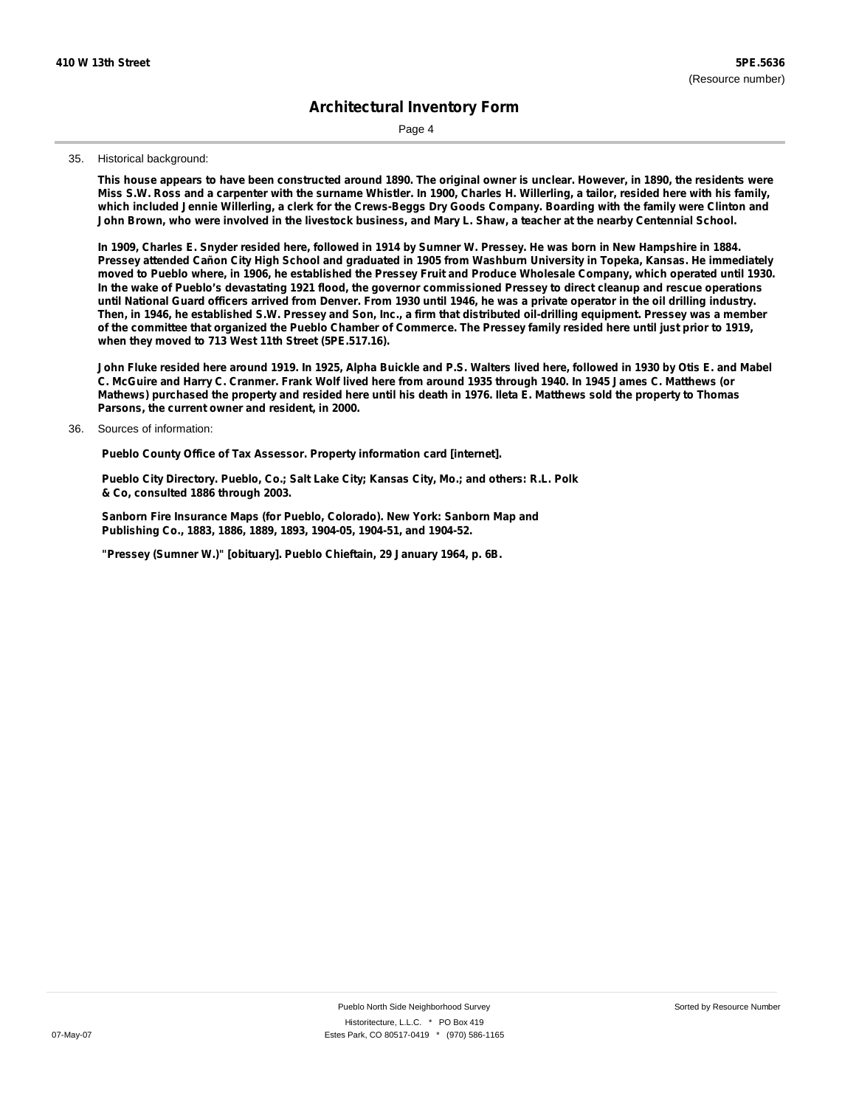Page 4

#### 35. Historical background:

This house appears to have been constructed around 1890. The original owner is unclear. However, in 1890, the residents were Miss S.W. Ross and a carpenter with the surname Whistler. In 1900, Charles H. Willerling, a tailor, resided here with his family, which included Jennie Willerling, a clerk for the Crews-Beggs Dry Goods Company. Boarding with the family were Clinton and John Brown, who were involved in the livestock business, and Mary L. Shaw, a teacher at the nearby Centennial School.

In 1909, Charles E. Snyder resided here, followed in 1914 by Sumner W. Pressey. He was born in New Hampshire in 1884. Pressey attended Cañon City High School and graduated in 1905 from Washburn University in Topeka, Kansas. He immediately moved to Pueblo where, in 1906, he established the Pressey Fruit and Produce Wholesale Company, which operated until 1930. In the wake of Pueblo's devastating 1921 flood, the governor commissioned Pressey to direct cleanup and rescue operations until National Guard officers arrived from Denver. From 1930 until 1946, he was a private operator in the oil drilling industry. Then, in 1946, he established S.W. Pressey and Son, Inc., a firm that distributed oil-drilling equipment. Pressey was a member of the committee that organized the Pueblo Chamber of Commerce. The Pressey family resided here until just prior to 1919, **when they moved to 713 West 11th Street (5PE.517.16).**

John Fluke resided here around 1919. In 1925, Alpha Buickle and P.S. Walters lived here, followed in 1930 by Otis E. and Mabel C. McGuire and Harry C. Cranmer. Frank Wolf lived here from around 1935 through 1940. In 1945 James C. Matthews (or Mathews) purchased the property and resided here until his death in 1976. Ileta E. Matthews sold the property to Thomas **Parsons, the current owner and resident, in 2000.**

#### Sources of information: 36.

**Pueblo County Office of Tax Assessor. Property information card [internet].**

**Pueblo City Directory. Pueblo, Co.; Salt Lake City; Kansas City, Mo.; and others: R.L. Polk & Co, consulted 1886 through 2003.**

**Sanborn Fire Insurance Maps (for Pueblo, Colorado). New York: Sanborn Map and Publishing Co., 1883, 1886, 1889, 1893, 1904-05, 1904-51, and 1904-52.**

**"Pressey (Sumner W.)" [obituary]. Pueblo Chieftain, 29 January 1964, p. 6B.**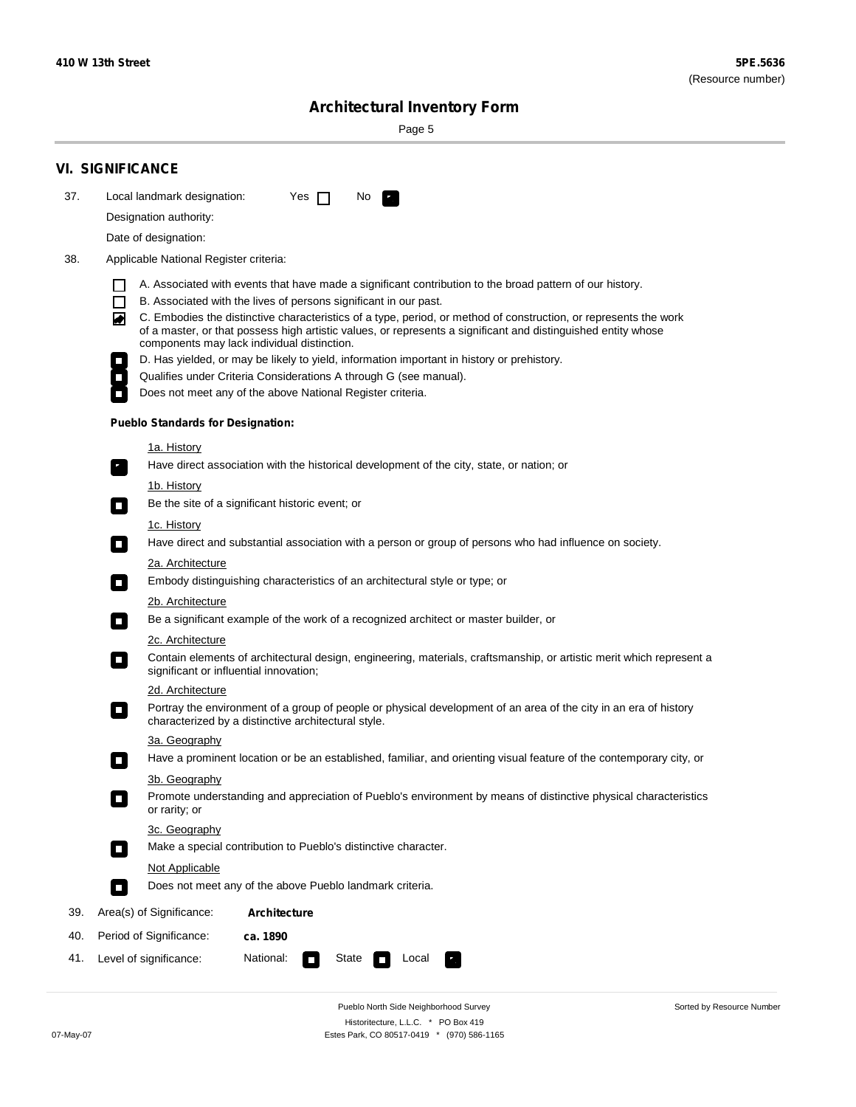÷

Sorted by Resource Number

# **Architectural Inventory Form**

Page 5

|     | <b>VI. SIGNIFICANCE</b>                                                                                                                                                                                                                                                               |  |  |  |  |  |  |
|-----|---------------------------------------------------------------------------------------------------------------------------------------------------------------------------------------------------------------------------------------------------------------------------------------|--|--|--|--|--|--|
| 37. | Local landmark designation:<br>Yes $\Box$<br>No.<br>$\mathbf{F}$                                                                                                                                                                                                                      |  |  |  |  |  |  |
|     | Designation authority:                                                                                                                                                                                                                                                                |  |  |  |  |  |  |
|     | Date of designation:                                                                                                                                                                                                                                                                  |  |  |  |  |  |  |
| 38. | Applicable National Register criteria:                                                                                                                                                                                                                                                |  |  |  |  |  |  |
|     | A. Associated with events that have made a significant contribution to the broad pattern of our history.                                                                                                                                                                              |  |  |  |  |  |  |
|     | $\Box$<br>B. Associated with the lives of persons significant in our past.                                                                                                                                                                                                            |  |  |  |  |  |  |
|     | C. Embodies the distinctive characteristics of a type, period, or method of construction, or represents the work<br>◙<br>of a master, or that possess high artistic values, or represents a significant and distinguished entity whose<br>components may lack individual distinction. |  |  |  |  |  |  |
|     | D. Has yielded, or may be likely to yield, information important in history or prehistory.                                                                                                                                                                                            |  |  |  |  |  |  |
|     | Qualifies under Criteria Considerations A through G (see manual).                                                                                                                                                                                                                     |  |  |  |  |  |  |
|     | Does not meet any of the above National Register criteria.                                                                                                                                                                                                                            |  |  |  |  |  |  |
|     | <b>Pueblo Standards for Designation:</b>                                                                                                                                                                                                                                              |  |  |  |  |  |  |
|     | <u>1a. History</u>                                                                                                                                                                                                                                                                    |  |  |  |  |  |  |
|     | Have direct association with the historical development of the city, state, or nation; or<br>$\overline{\phantom{a}}$ .                                                                                                                                                               |  |  |  |  |  |  |
|     | <u>1b. History</u>                                                                                                                                                                                                                                                                    |  |  |  |  |  |  |
|     | Be the site of a significant historic event; or<br>$\Box$                                                                                                                                                                                                                             |  |  |  |  |  |  |
|     | 1c. History                                                                                                                                                                                                                                                                           |  |  |  |  |  |  |
|     | Have direct and substantial association with a person or group of persons who had influence on society.<br>$\Box$                                                                                                                                                                     |  |  |  |  |  |  |
|     | 2a. Architecture                                                                                                                                                                                                                                                                      |  |  |  |  |  |  |
|     | Embody distinguishing characteristics of an architectural style or type; or<br>$\Box$                                                                                                                                                                                                 |  |  |  |  |  |  |
|     | 2b. Architecture                                                                                                                                                                                                                                                                      |  |  |  |  |  |  |
|     | Be a significant example of the work of a recognized architect or master builder, or<br>$\mathcal{L}_{\mathcal{A}}$                                                                                                                                                                   |  |  |  |  |  |  |
|     | 2c. Architecture                                                                                                                                                                                                                                                                      |  |  |  |  |  |  |
|     | Contain elements of architectural design, engineering, materials, craftsmanship, or artistic merit which represent a<br>О<br>significant or influential innovation;                                                                                                                   |  |  |  |  |  |  |
|     | 2d. Architecture                                                                                                                                                                                                                                                                      |  |  |  |  |  |  |
|     | Portray the environment of a group of people or physical development of an area of the city in an era of history<br>О<br>characterized by a distinctive architectural style.                                                                                                          |  |  |  |  |  |  |
|     | 3a. Geography                                                                                                                                                                                                                                                                         |  |  |  |  |  |  |
|     | Have a prominent location or be an established, familiar, and orienting visual feature of the contemporary city, or                                                                                                                                                                   |  |  |  |  |  |  |
|     | 3b. Geography<br>Promote understanding and appreciation of Pueblo's environment by means of distinctive physical characteristics<br>or rarity; or                                                                                                                                     |  |  |  |  |  |  |
|     | 3c. Geography                                                                                                                                                                                                                                                                         |  |  |  |  |  |  |
|     | Make a special contribution to Pueblo's distinctive character.<br>$\Box$                                                                                                                                                                                                              |  |  |  |  |  |  |
|     | Not Applicable                                                                                                                                                                                                                                                                        |  |  |  |  |  |  |
|     | Does not meet any of the above Pueblo landmark criteria.<br>П                                                                                                                                                                                                                         |  |  |  |  |  |  |
| 39. | Area(s) of Significance:<br><b>Architecture</b>                                                                                                                                                                                                                                       |  |  |  |  |  |  |
| 40. | Period of Significance:<br>ca. 1890                                                                                                                                                                                                                                                   |  |  |  |  |  |  |
| 41. | National:<br>Level of significance:<br>State<br>Local<br>$\Box$                                                                                                                                                                                                                       |  |  |  |  |  |  |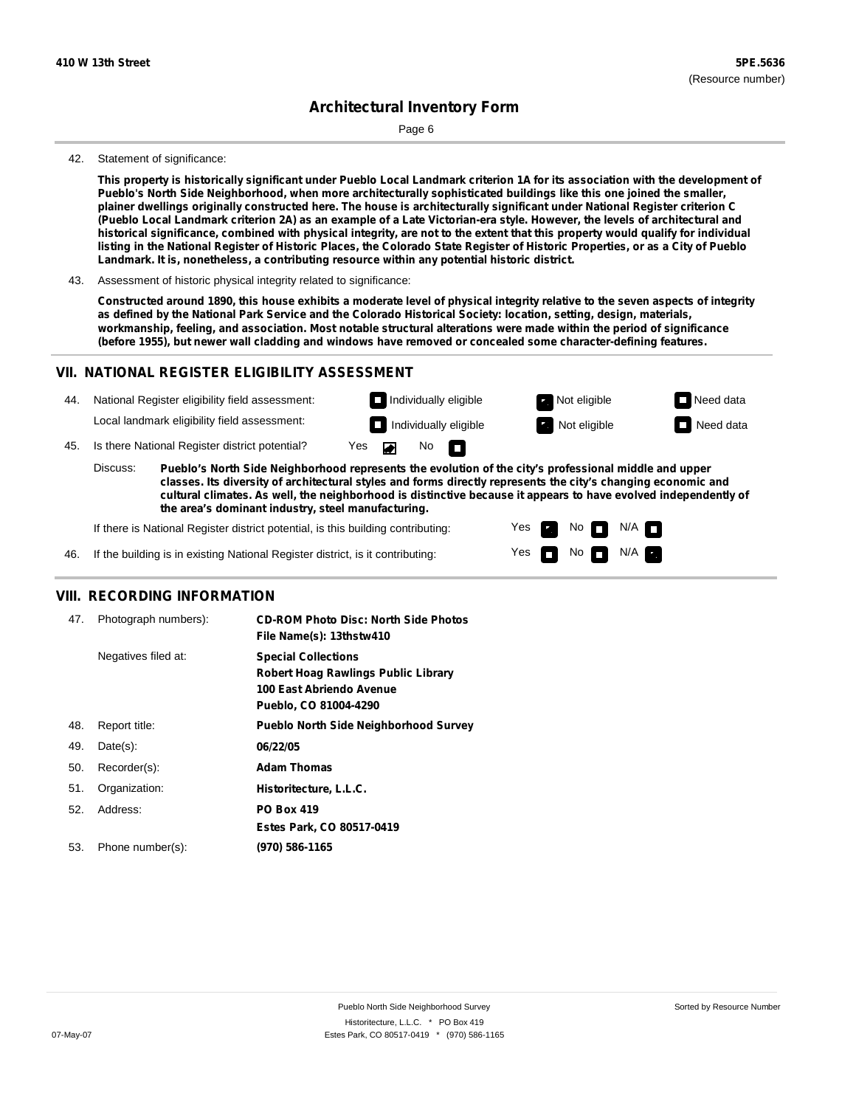Page 6

#### 42. Statement of significance:

This property is historically significant under Pueblo Local Landmark criterion 1A for its association with the development of **Pueblo's North Side Neighborhood, when more architecturally sophisticated buildings like this one joined the smaller,** plainer dwellings originally constructed here. The house is architecturally significant under National Register criterion C (Pueblo Local Landmark criterion 2A) as an example of a Late Victorian-era style. However, the levels of architectural and historical significance, combined with physical integrity, are not to the extent that this property would qualify for individual listing in the National Register of Historic Places, the Colorado State Register of Historic Properties, or as a City of Pueblo **Landmark. It is, nonetheless, a contributing resource within any potential historic district.**

43. Assessment of historic physical integrity related to significance:

Constructed around 1890, this house exhibits a moderate level of physical integrity relative to the seven aspects of integrity as defined by the National Park Service and the Colorado Historical Society: location, setting, design, materials, **workmanship, feeling, and association. Most notable structural alterations were made within the period of significance (before 1955), but newer wall cladding and windows have removed or concealed some character-defining features.**

## **VII. NATIONAL REGISTER ELIGIBILITY ASSESSMENT**



**classes. Its diversity of architectural styles and forms directly represents the city's changing economic and cultural climates. As well, the neighborhood is distinctive because it appears to have evolved independently of the area's dominant industry, steel manufacturing.**

> Yes Yes

п

No **DI**N/A No  $\blacksquare$  N/A  $\blacksquare$ 

If there is National Register district potential, is this building contributing:

If the building is in existing National Register district, is it contributing: 46.

## **VIII. RECORDING INFORMATION**

| 47. | Photograph numbers): | <b>CD-ROM Photo Disc: North Side Photos</b><br>File Name(s): 13thstw410                                                       |
|-----|----------------------|-------------------------------------------------------------------------------------------------------------------------------|
|     | Negatives filed at:  | <b>Special Collections</b><br><b>Robert Hoag Rawlings Public Library</b><br>100 East Abriendo Avenue<br>Pueblo, CO 81004-4290 |
| 48. | Report title:        | <b>Pueblo North Side Neighborhood Survey</b>                                                                                  |
| 49. | $Date(s)$ :          | 06/22/05                                                                                                                      |
| 50. | Recorder(s):         | <b>Adam Thomas</b>                                                                                                            |
| 51. | Organization:        | Historitecture, L.L.C.                                                                                                        |
| 52. | Address:             | <b>PO Box 419</b>                                                                                                             |
|     |                      | Estes Park, CO 80517-0419                                                                                                     |
| 53. | Phone number(s):     | (970) 586-1165                                                                                                                |
|     |                      |                                                                                                                               |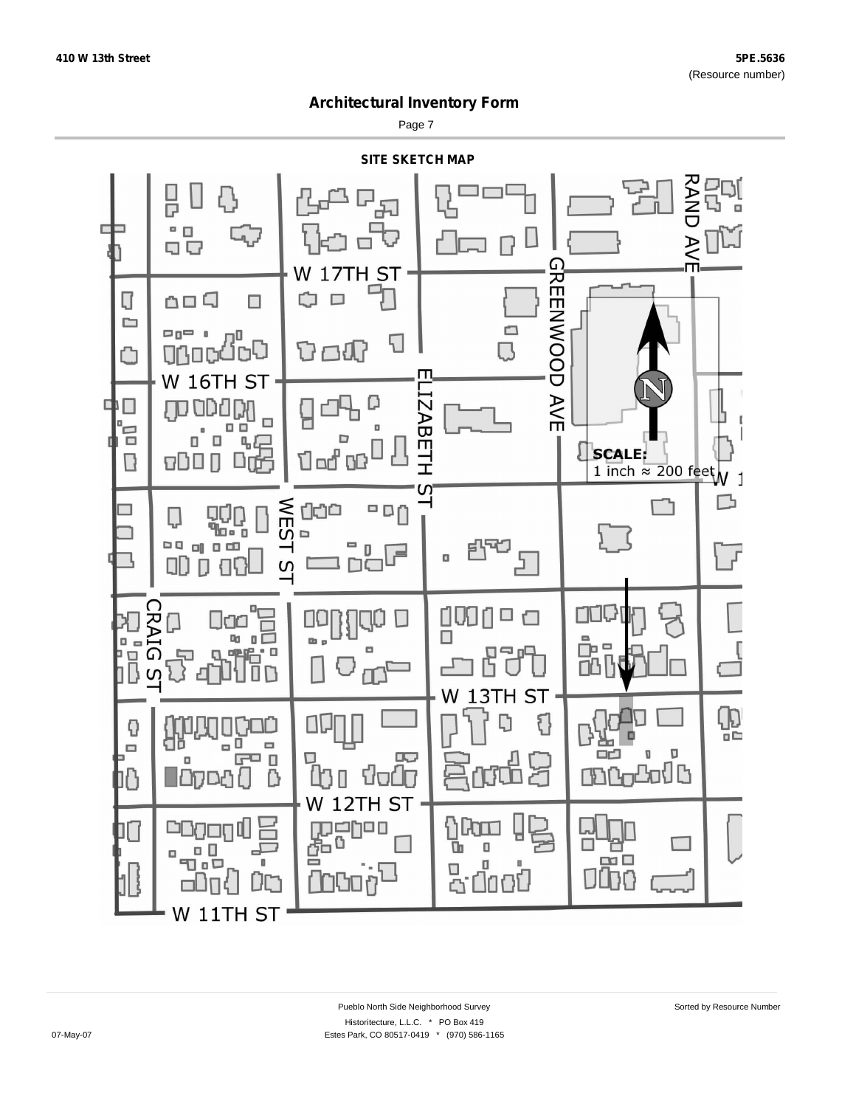Page 7